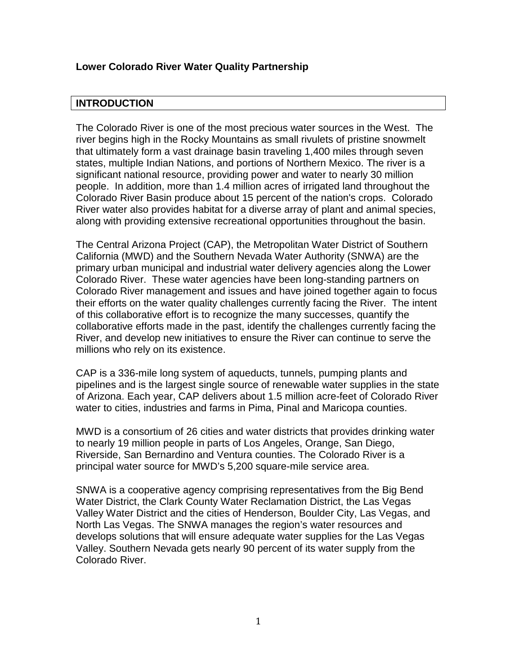## **Lower Colorado River Water Quality Partnership**

## **INTRODUCTION**

The Colorado River is one of the most precious water sources in the West. The river begins high in the Rocky Mountains as small rivulets of pristine snowmelt that ultimately form a vast drainage basin traveling 1,400 miles through seven states, multiple Indian Nations, and portions of Northern Mexico. The river is a significant national resource, providing power and water to nearly 30 million people. In addition, more than 1.4 million acres of irrigated land throughout the Colorado River Basin produce about 15 percent of the nation's crops. Colorado River water also provides habitat for a diverse array of plant and animal species, along with providing extensive recreational opportunities throughout the basin.

The Central Arizona Project (CAP), the Metropolitan Water District of Southern California (MWD) and the Southern Nevada Water Authority (SNWA) are the primary urban municipal and industrial water delivery agencies along the Lower Colorado River. These water agencies have been long-standing partners on Colorado River management and issues and have joined together again to focus their efforts on the water quality challenges currently facing the River. The intent of this collaborative effort is to recognize the many successes, quantify the collaborative efforts made in the past, identify the challenges currently facing the River, and develop new initiatives to ensure the River can continue to serve the millions who rely on its existence.

CAP is a 336-mile long system of aqueducts, tunnels, pumping plants and pipelines and is the largest single source of renewable water supplies in the state of Arizona. Each year, CAP delivers about 1.5 million acre-feet of Colorado River water to cities, industries and farms in Pima, Pinal and Maricopa counties.

MWD is a consortium of 26 cities and water districts that provides drinking water to nearly 19 million people in parts of Los Angeles, Orange, San Diego, Riverside, San Bernardino and Ventura counties. The Colorado River is a principal water source for MWD's 5,200 square-mile service area.

SNWA is a cooperative agency comprising representatives from the Big Bend Water District, the Clark County Water Reclamation District, the Las Vegas Valley Water District and the cities of Henderson, Boulder City, Las Vegas, and North Las Vegas. The SNWA manages the region's water resources and develops solutions that will ensure adequate water supplies for the Las Vegas Valley. Southern Nevada gets nearly 90 percent of its water supply from the Colorado River.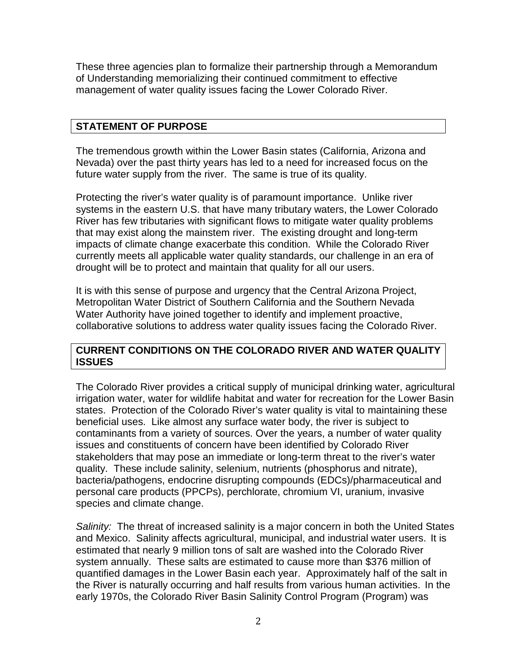These three agencies plan to formalize their partnership through a Memorandum of Understanding memorializing their continued commitment to effective management of water quality issues facing the Lower Colorado River.

# **STATEMENT OF PURPOSE**

The tremendous growth within the Lower Basin states (California, Arizona and Nevada) over the past thirty years has led to a need for increased focus on the future water supply from the river. The same is true of its quality.

Protecting the river's water quality is of paramount importance. Unlike river systems in the eastern U.S. that have many tributary waters, the Lower Colorado River has few tributaries with significant flows to mitigate water quality problems that may exist along the mainstem river. The existing drought and long-term impacts of climate change exacerbate this condition. While the Colorado River currently meets all applicable water quality standards, our challenge in an era of drought will be to protect and maintain that quality for all our users.

It is with this sense of purpose and urgency that the Central Arizona Project, Metropolitan Water District of Southern California and the Southern Nevada Water Authority have joined together to identify and implement proactive, collaborative solutions to address water quality issues facing the Colorado River.

## **CURRENT CONDITIONS ON THE COLORADO RIVER AND WATER QUALITY ISSUES**

The Colorado River provides a critical supply of municipal drinking water, agricultural irrigation water, water for wildlife habitat and water for recreation for the Lower Basin states. Protection of the Colorado River's water quality is vital to maintaining these beneficial uses. Like almost any surface water body, the river is subject to contaminants from a variety of sources. Over the years, a number of water quality issues and constituents of concern have been identified by Colorado River stakeholders that may pose an immediate or long-term threat to the river's water quality. These include salinity, selenium, nutrients (phosphorus and nitrate), bacteria/pathogens, endocrine disrupting compounds (EDCs)/pharmaceutical and personal care products (PPCPs), perchlorate, chromium VI, uranium, invasive species and climate change.

*Salinity:* The threat of increased salinity is a major concern in both the United States and Mexico. Salinity affects agricultural, municipal, and industrial water users. It is estimated that nearly 9 million tons of salt are washed into the Colorado River system annually. These salts are estimated to cause more than \$376 million of quantified damages in the Lower Basin each year. Approximately half of the salt in the River is naturally occurring and half results from various human activities. In the early 1970s, the Colorado River Basin Salinity Control Program (Program) was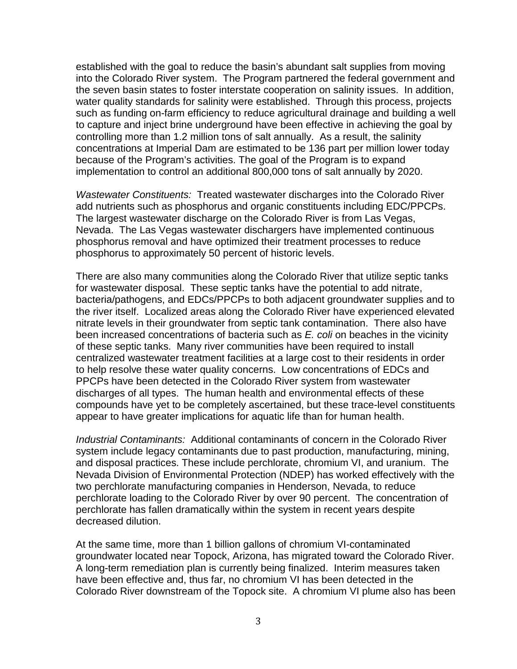established with the goal to reduce the basin's abundant salt supplies from moving into the Colorado River system. The Program partnered the federal government and the seven basin states to foster interstate cooperation on salinity issues. In addition, water quality standards for salinity were established. Through this process, projects such as funding on-farm efficiency to reduce agricultural drainage and building a well to capture and inject brine underground have been effective in achieving the goal by controlling more than 1.2 million tons of salt annually. As a result, the salinity concentrations at Imperial Dam are estimated to be 136 part per million lower today because of the Program's activities. The goal of the Program is to expand implementation to control an additional 800,000 tons of salt annually by 2020.

*Wastewater Constituents:* Treated wastewater discharges into the Colorado River add nutrients such as phosphorus and organic constituents including EDC/PPCPs. The largest wastewater discharge on the Colorado River is from Las Vegas, Nevada. The Las Vegas wastewater dischargers have implemented continuous phosphorus removal and have optimized their treatment processes to reduce phosphorus to approximately 50 percent of historic levels.

There are also many communities along the Colorado River that utilize septic tanks for wastewater disposal. These septic tanks have the potential to add nitrate, bacteria/pathogens, and EDCs/PPCPs to both adjacent groundwater supplies and to the river itself. Localized areas along the Colorado River have experienced elevated nitrate levels in their groundwater from septic tank contamination. There also have been increased concentrations of bacteria such as *E. coli* on beaches in the vicinity of these septic tanks. Many river communities have been required to install centralized wastewater treatment facilities at a large cost to their residents in order to help resolve these water quality concerns. Low concentrations of EDCs and PPCPs have been detected in the Colorado River system from wastewater discharges of all types. The human health and environmental effects of these compounds have yet to be completely ascertained, but these trace-level constituents appear to have greater implications for aquatic life than for human health.

*Industrial Contaminants:* Additional contaminants of concern in the Colorado River system include legacy contaminants due to past production, manufacturing, mining, and disposal practices. These include perchlorate, chromium VI, and uranium.The Nevada Division of Environmental Protection (NDEP) has worked effectively with the two perchlorate manufacturing companies in Henderson, Nevada, to reduce perchlorate loading to the Colorado River by over 90 percent. The concentration of perchlorate has fallen dramatically within the system in recent years despite decreased dilution.

At the same time, more than 1 billion gallons of chromium VI-contaminated groundwater located near Topock, Arizona, has migrated toward the Colorado River. A long-term remediation plan is currently being finalized. Interim measures taken have been effective and, thus far, no chromium VI has been detected in the Colorado River downstream of the Topock site. A chromium VI plume also has been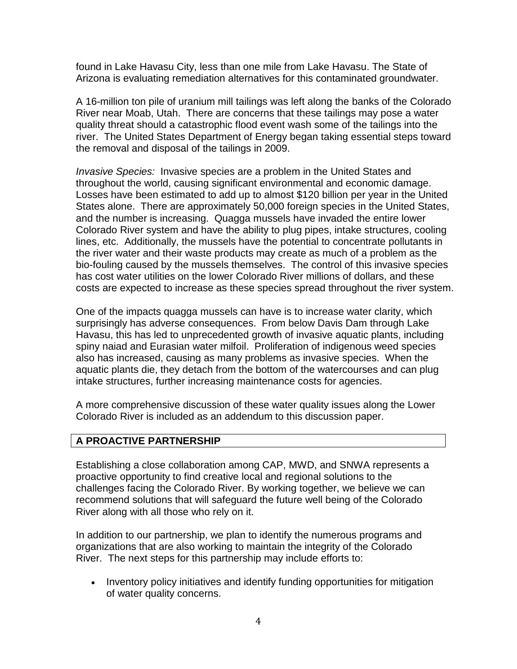found in Lake Havasu City, less than one mile from Lake Havasu. The State of Arizona is evaluating remediation alternatives for this contaminated groundwater.

A 16-million ton pile of uranium mill tailings was left along the banks of the Colorado River near Moab, Utah. There are concerns that these tailings may pose a water quality threat should a catastrophic flood event wash some of the tailings into the river. The United States Department of Energy began taking essential steps toward the removal and disposal of the tailings in 2009.

*Invasive Species:* Invasive species are a problem in the United States and throughout the world, causing significant environmental and economic damage. Losses have been estimated to add up to almost \$120 billion per year in the United States alone. There are approximately 50,000 foreign species in the United States, and the number is increasing. Quagga mussels have invaded the entire lower Colorado River system and have the ability to plug pipes, intake structures, cooling lines, etc. Additionally, the mussels have the potential to concentrate pollutants in the river water and their waste products may create as much of a problem as the bio-fouling caused by the mussels themselves. The control of this invasive species has cost water utilities on the lower Colorado River millions of dollars, and these costs are expected to increase as these species spread throughout the river system.

One of the impacts quagga mussels can have is to increase water clarity, which surprisingly has adverse consequences. From below Davis Dam through Lake Havasu, this has led to unprecedented growth of invasive aquatic plants, including spiny naiad and Eurasian water milfoil. Proliferation of indigenous weed species also has increased, causing as many problems as invasive species. When the aquatic plants die, they detach from the bottom of the watercourses and can plug intake structures, further increasing maintenance costs for agencies.

A more comprehensive discussion of these water quality issues along the Lower Colorado River is included as an addendum to this discussion paper.

# **A PROACTIVE PARTNERSHIP**

Establishing a close collaboration among CAP, MWD, and SNWA represents a proactive opportunity to find creative local and regional solutions to the challenges facing the Colorado River. By working together, we believe we can recommend solutions that will safeguard the future well being of the Colorado River along with all those who rely on it.

In addition to our partnership, we plan to identify the numerous programs and organizations that are also working to maintain the integrity of the Colorado River. The next steps for this partnership may include efforts to:

• Inventory policy initiatives and identify funding opportunities for mitigation of water quality concerns.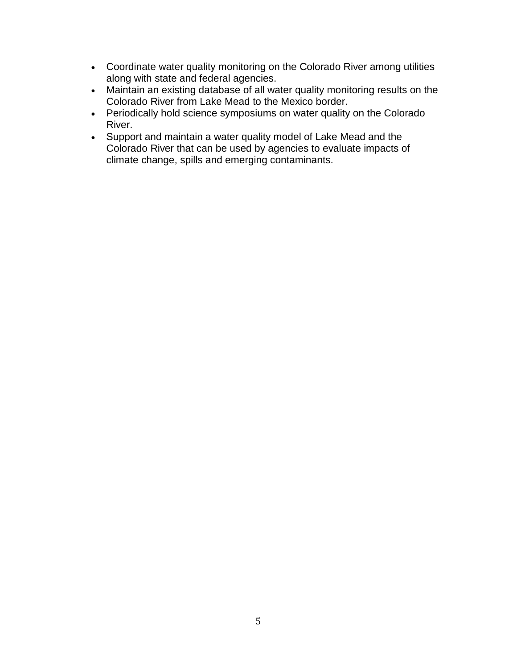- Coordinate water quality monitoring on the Colorado River among utilities along with state and federal agencies.
- Maintain an existing database of all water quality monitoring results on the Colorado River from Lake Mead to the Mexico border.
- Periodically hold science symposiums on water quality on the Colorado River.
- Support and maintain a water quality model of Lake Mead and the Colorado River that can be used by agencies to evaluate impacts of climate change, spills and emerging contaminants.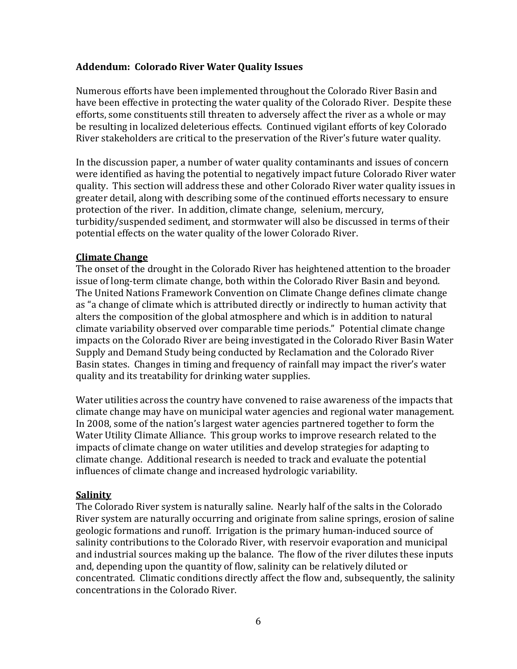## **Addendum: Colorado River Water Quality Issues**

Numerous efforts have been implemented throughout the Colorado River Basin and have been effective in protecting the water quality of the Colorado River. Despite these efforts, some constituents still threaten to adversely affect the river as a whole or may be resulting in localized deleterious effects. Continued vigilant efforts of key Colorado River stakeholders are critical to the preservation of the River's future water quality.

In the discussion paper, a number of water quality contaminants and issues of concern were identified as having the potential to negatively impact future Colorado River water quality. This section will address these and other Colorado River water quality issues in greater detail, along with describing some of the continued efforts necessary to ensure protection of the river. In addition, climate change, selenium, mercury, turbidity/suspended sediment, and stormwater will also be discussed in terms of their potential effects on the water quality of the lower Colorado River.

## **Climate Change**

The onset of the drought in the Colorado River has heightened attention to the broader issue of long-term climate change, both within the Colorado River Basin and beyond. The United Nations Framework Convention on Climate Change defines climate change as "a change of climate which is attributed directly or indirectly to human activity that alters the composition of the global atmosphere and which is in addition to natural climate variability observed over comparable time periods." Potential climate change impacts on the Colorado River are being investigated in the Colorado River Basin Water Supply and Demand Study being conducted by Reclamation and the Colorado River Basin states. Changes in timing and frequency of rainfall may impact the river's water quality and its treatability for drinking water supplies.

Water utilities across the country have convened to raise awareness of the impacts that climate change may have on municipal water agencies and regional water management. In 2008, some of the nation's largest water agencies partnered together to form the Water Utility Climate Alliance. This group works to improve research related to the impacts of climate change on water utilities and develop strategies for adapting to climate change. Additional research is needed to track and evaluate the potential influences of climate change and increased hydrologic variability.

## **Salinity**

The Colorado River system is naturally saline. Nearly half of the salts in the Colorado River system are naturally occurring and originate from saline springs, erosion of saline geologic formations and runoff. Irrigation is the primary human-induced source of salinity contributions to the Colorado River, with reservoir evaporation and municipal and industrial sources making up the balance. The flow of the river dilutes these inputs and, depending upon the quantity of flow, salinity can be relatively diluted or concentrated. Climatic conditions directly affect the flow and, subsequently, the salinity concentrations in the Colorado River.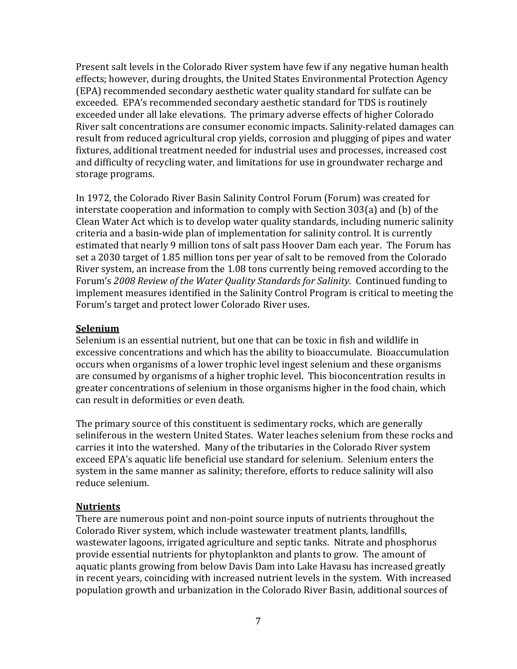Present salt levels in the Colorado River system have few if any negative human health effects; however, during droughts, the United States Environmental Protection Agency (EPA) recommended secondary aesthetic water quality standard for sulfate can be exceeded. EPA's recommended secondary aesthetic standard for TDS is routinely exceeded under all lake elevations. The primary adverse effects of higher Colorado River salt concentrations are consumer economic impacts. Salinity-related damages can result from reduced agricultural crop yields, corrosion and plugging of pipes and water fixtures, additional treatment needed for industrial uses and processes, increased cost and difficulty of recycling water, and limitations for use in groundwater recharge and storage programs.

In 1972, the Colorado River Basin Salinity Control Forum (Forum) was created for interstate cooperation and information to comply with Section 303(a) and (b) of the Clean Water Act which is to develop water quality standards, including numeric salinity criteria and a basin-wide plan of implementation for salinity control. It is currently estimated that nearly 9 million tons of salt pass Hoover Dam each year. The Forum has set a 2030 target of 1.85 million tons per year of salt to be removed from the Colorado River system, an increase from the 1.08 tons currently being removed according to the Forum's *2008 Review of the Water Quality Standards for Salinity*. Continued funding to implement measures identified in the Salinity Control Program is critical to meeting the Forum's target and protect lower Colorado River uses.

#### **Selenium**

Selenium is an essential nutrient, but one that can be toxic in fish and wildlife in excessive concentrations and which has the ability to bioaccumulate. Bioaccumulation occurs when organisms of a lower trophic level ingest selenium and these organisms are consumed by organisms of a higher trophic level. This bioconcentration results in greater concentrations of selenium in those organisms higher in the food chain, which can result in deformities or even death.

The primary source of this constituent is sedimentary rocks, which are generally seliniferous in the western United States. Water leaches selenium from these rocks and carries it into the watershed. Many of the tributaries in the Colorado River system exceed EPA's aquatic life beneficial use standard for selenium. Selenium enters the system in the same manner as salinity; therefore, efforts to reduce salinity will also reduce selenium.

## **Nutrients**

There are numerous point and non-point source inputs of nutrients throughout the Colorado River system, which include wastewater treatment plants, landfills, wastewater lagoons, irrigated agriculture and septic tanks. Nitrate and phosphorus provide essential nutrients for phytoplankton and plants to grow. The amount of aquatic plants growing from below Davis Dam into Lake Havasu has increased greatly in recent years, coinciding with increased nutrient levels in the system. With increased population growth and urbanization in the Colorado River Basin, additional sources of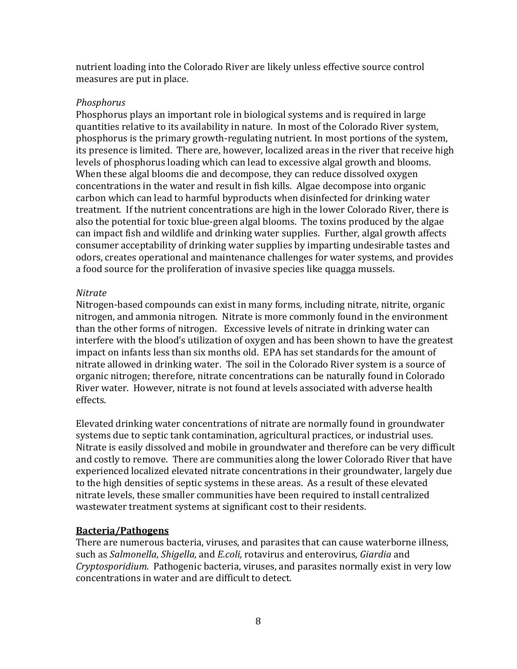nutrient loading into the Colorado River are likely unless effective source control measures are put in place.

#### *Phosphorus*

Phosphorus plays an important role in biological systems and is required in large quantities relative to its availability in nature. In most of the Colorado River system, phosphorus is the primary growth-regulating nutrient. In most portions of the system, its presence is limited. There are, however, localized areas in the river that receive high levels of phosphorus loading which can lead to excessive algal growth and blooms. When these algal blooms die and decompose, they can reduce dissolved oxygen concentrations in the water and result in fish kills. Algae decompose into organic carbon which can lead to harmful byproducts when disinfected for drinking water treatment. If the nutrient concentrations are high in the lower Colorado River, there is also the potential for toxic blue-green algal blooms. The toxins produced by the algae can impact fish and wildlife and drinking water supplies. Further, algal growth affects consumer acceptability of drinking water supplies by imparting undesirable tastes and odors, creates operational and maintenance challenges for water systems, and provides a food source for the proliferation of invasive species like quagga mussels.

#### *Nitrate*

Nitrogen-based compounds can exist in many forms, including nitrate, nitrite, organic nitrogen, and ammonia nitrogen. Nitrate is more commonly found in the environment than the other forms of nitrogen. Excessive levels of nitrate in drinking water can interfere with the blood's utilization of oxygen and has been shown to have the greatest impact on infants less than six months old. EPA has set standards for the amount of nitrate allowed in drinking water. The soil in the Colorado River system is a source of organic nitrogen; therefore, nitrate concentrations can be naturally found in Colorado River water. However, nitrate is not found at levels associated with adverse health effects.

Elevated drinking water concentrations of nitrate are normally found in groundwater systems due to septic tank contamination, agricultural practices, or industrial uses. Nitrate is easily dissolved and mobile in groundwater and therefore can be very difficult and costly to remove. There are communities along the lower Colorado River that have experienced localized elevated nitrate concentrations in their groundwater, largely due to the high densities of septic systems in these areas. As a result of these elevated nitrate levels, these smaller communities have been required to install centralized wastewater treatment systems at significant cost to their residents.

## **Bacteria/Pathogens**

There are numerous bacteria, viruses, and parasites that can cause waterborne illness, such as *Salmonella*, *Shigella*, and *E.coli,* rotavirus and enterovirus, *Giardia* and *Cryptosporidium*. Pathogenic bacteria, viruses, and parasites normally exist in very low concentrations in water and are difficult to detect.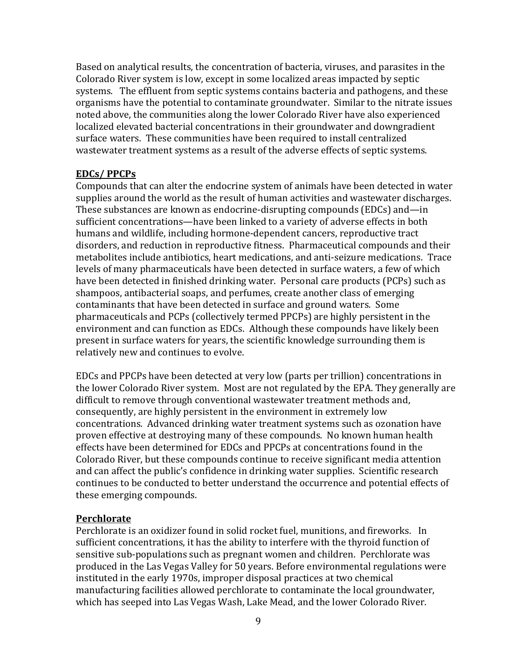Based on analytical results, the concentration of bacteria, viruses, and parasites in the Colorado River system is low, except in some localized areas impacted by septic systems. The effluent from septic systems contains bacteria and pathogens, and these organisms have the potential to contaminate groundwater. Similar to the nitrate issues noted above, the communities along the lower Colorado River have also experienced localized elevated bacterial concentrations in their groundwater and downgradient surface waters. These communities have been required to install centralized wastewater treatment systems as a result of the adverse effects of septic systems.

## **EDCs/ PPCPs**

Compounds that can alter the endocrine system of animals have been detected in water supplies around the world as the result of human activities and wastewater discharges. These substances are known as endocrine-disrupting compounds (EDCs) and—in sufficient concentrations—have been linked to a variety of adverse effects in both humans and wildlife, including hormone-dependent cancers, reproductive tract disorders, and reduction in reproductive fitness. Pharmaceutical compounds and their metabolites include antibiotics, heart medications, and anti-seizure medications. Trace levels of many pharmaceuticals have been detected in surface waters, a few of which have been detected in finished drinking water. Personal care products (PCPs) such as shampoos, antibacterial soaps, and perfumes, create another class of emerging contaminants that have been detected in surface and ground waters. Some pharmaceuticals and PCPs (collectively termed PPCPs) are highly persistent in the environment and can function as EDCs. Although these compounds have likely been present in surface waters for years, the scientific knowledge surrounding them is relatively new and continues to evolve.

EDCs and PPCPs have been detected at very low (parts per trillion) concentrations in the lower Colorado River system. Most are not regulated by the EPA. They generally are difficult to remove through conventional wastewater treatment methods and, consequently, are highly persistent in the environment in extremely low concentrations. Advanced drinking water treatment systems such as ozonation have proven effective at destroying many of these compounds. No known human health effects have been determined for EDCs and PPCPs at concentrations found in the Colorado River, but these compounds continue to receive significant media attention and can affect the public's confidence in drinking water supplies. Scientific research continues to be conducted to better understand the occurrence and potential effects of these emerging compounds.

#### **Perchlorate**

Perchlorate is an oxidizer found in solid rocket fuel, munitions, and fireworks. In sufficient concentrations, it has the ability to interfere with the thyroid function of sensitive sub-populations such as pregnant women and children. Perchlorate was produced in the Las Vegas Valley for 50 years. Before environmental regulations were instituted in the early 1970s, improper disposal practices at two chemical manufacturing facilities allowed perchlorate to contaminate the local groundwater, which has seeped into Las Vegas Wash, Lake Mead, and the lower Colorado River.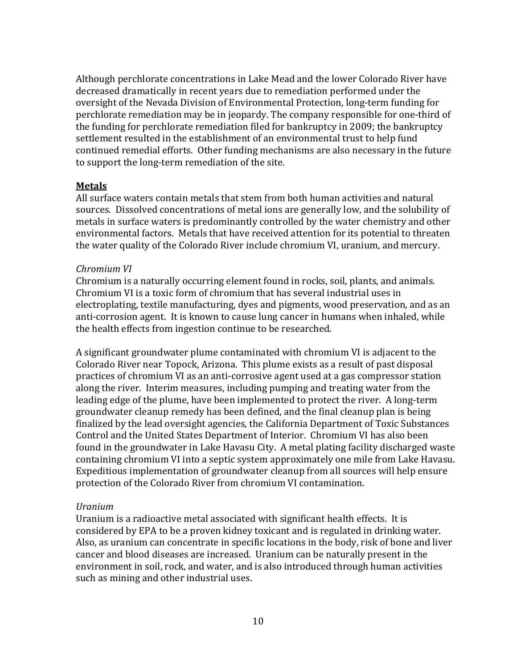Although perchlorate concentrations in Lake Mead and the lower Colorado River have decreased dramatically in recent years due to remediation performed under the oversight of the Nevada Division of Environmental Protection, long-term funding for perchlorate remediation may be in jeopardy. The company responsible for one-third of the funding for perchlorate remediation filed for bankruptcy in 2009; the bankruptcy settlement resulted in the establishment of an environmental trust to help fund continued remedial efforts. Other funding mechanisms are also necessary in the future to support the long-term remediation of the site.

#### **Metals**

All surface waters contain metals that stem from both human activities and natural sources. Dissolved concentrations of metal ions are generally low, and the solubility of metals in surface waters is predominantly controlled by the water chemistry and other environmental factors. Metals that have received attention for its potential to threaten the water quality of the Colorado River include chromium VI, uranium, and mercury.

#### *Chromium VI*

Chromium is a naturally occurring element found in rocks, soil, plants, and animals. Chromium VI is a toxic form of chromium that has several industrial uses in electroplating, textile manufacturing, dyes and pigments, wood preservation, and as an anti-corrosion agent. It is known to cause lung cancer in humans when inhaled, while the health effects from ingestion continue to be researched.

A significant groundwater plume contaminated with chromium VI is adjacent to the Colorado River near Topock, Arizona. This plume exists as a result of past disposal practices of chromium VI as an anti-corrosive agent used at a gas compressor station along the river. Interim measures, including pumping and treating water from the leading edge of the plume, have been implemented to protect the river. A long-term groundwater cleanup remedy has been defined, and the final cleanup plan is being finalized by the lead oversight agencies, the California Department of Toxic Substances Control and the United States Department of Interior. Chromium VI has also been found in the groundwater in Lake Havasu City. A metal plating facility discharged waste containing chromium VI into a septic system approximately one mile from Lake Havasu. Expeditious implementation of groundwater cleanup from all sources will help ensure protection of the Colorado River from chromium VI contamination.

#### *Uranium*

Uranium is a radioactive metal associated with significant health effects. It is considered by EPA to be a proven kidney toxicant and is regulated in drinking water. Also, as uranium can concentrate in specific locations in the body, risk of bone and liver cancer and blood diseases are increased. Uranium can be naturally present in the environment in soil, rock, and water, and is also introduced through human activities such as mining and other industrial uses.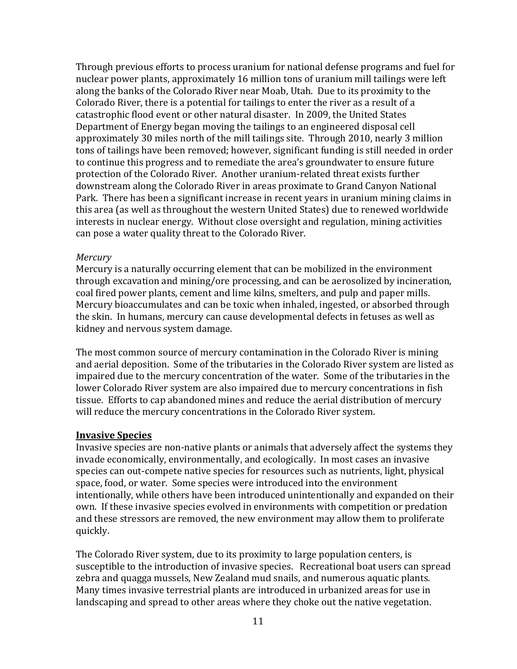Through previous efforts to process uranium for national defense programs and fuel for nuclear power plants, approximately 16 million tons of uranium mill tailings were left along the banks of the Colorado River near Moab, Utah. Due to its proximity to the Colorado River, there is a potential for tailings to enter the river as a result of a catastrophic flood event or other natural disaster. In 2009, the United States Department of Energy began moving the tailings to an engineered disposal cell approximately 30 miles north of the mill tailings site. Through 2010, nearly 3 million tons of tailings have been removed; however, significant funding is still needed in order to continue this progress and to remediate the area's groundwater to ensure future protection of the Colorado River. Another uranium-related threat exists further downstream along the Colorado River in areas proximate to Grand Canyon National Park. There has been a significant increase in recent years in uranium mining claims in this area (as well as throughout the western United States) due to renewed worldwide interests in nuclear energy. Without close oversight and regulation, mining activities can pose a water quality threat to the Colorado River.

#### *Mercury*

Mercury is a naturally occurring element that can be mobilized in the environment through excavation and mining/ore processing, and can be aerosolized by incineration, coal fired power plants, cement and lime kilns, smelters, and pulp and paper mills. Mercury bioaccumulates and can be toxic when inhaled, ingested, or absorbed through the skin. In humans, mercury can cause developmental defects in fetuses as well as kidney and nervous system damage.

The most common source of mercury contamination in the Colorado River is mining and aerial deposition. Some of the tributaries in the Colorado River system are listed as impaired due to the mercury concentration of the water. Some of the tributaries in the lower Colorado River system are also impaired due to mercury concentrations in fish tissue. Efforts to cap abandoned mines and reduce the aerial distribution of mercury will reduce the mercury concentrations in the Colorado River system.

#### **Invasive Species**

Invasive species are non-native plants or animals that adversely affect the systems they invade economically, environmentally, and ecologically. In most cases an invasive species can out-compete native species for resources such as nutrients, light, physical space, food, or water. Some species were introduced into the environment intentionally, while others have been introduced unintentionally and expanded on their own. If these invasive species evolved in environments with competition or predation and these stressors are removed, the new environment may allow them to proliferate quickly.

The Colorado River system, due to its proximity to large population centers, is susceptible to the introduction of invasive species. Recreational boat users can spread zebra and quagga mussels, New Zealand mud snails, and numerous aquatic plants. Many times invasive terrestrial plants are introduced in urbanized areas for use in landscaping and spread to other areas where they choke out the native vegetation.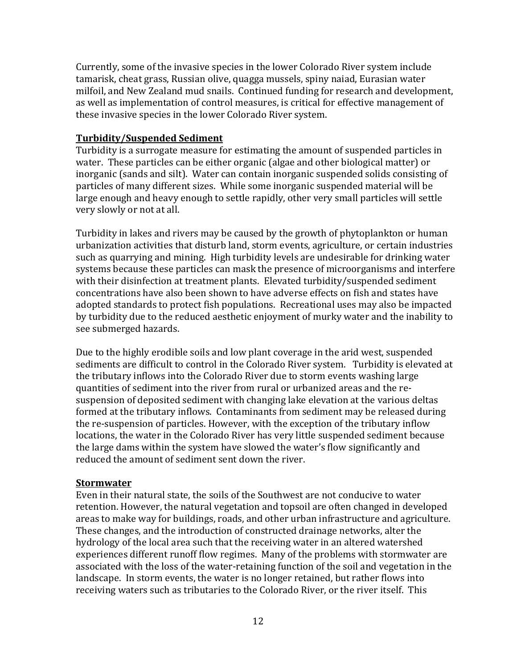Currently, some of the invasive species in the lower Colorado River system include tamarisk, cheat grass, Russian olive, quagga mussels, spiny naiad, Eurasian water milfoil, and New Zealand mud snails. Continued funding for research and development, as well as implementation of control measures, is critical for effective management of these invasive species in the lower Colorado River system.

#### **Turbidity/Suspended Sediment**

Turbidity is a surrogate measure for estimating the amount of suspended particles in water. These particles can be either organic (algae and other biological matter) or inorganic (sands and silt). Water can contain inorganic suspended solids consisting of particles of many different sizes. While some inorganic suspended material will be large enough and heavy enough to settle rapidly, other very small particles will settle very slowly or not at all.

Turbidity in lakes and rivers may be caused by the growth of phytoplankton or human urbanization activities that disturb land, storm events, agriculture, or certain industries such as quarrying and mining. High turbidity levels are undesirable for drinking water systems because these particles can mask the presence of microorganisms and interfere with their disinfection at treatment plants. Elevated turbidity/suspended sediment concentrations have also been shown to have adverse effects on fish and states have adopted standards to protect fish populations. Recreational uses may also be impacted by turbidity due to the reduced aesthetic enjoyment of murky water and the inability to see submerged hazards.

Due to the highly erodible soils and low plant coverage in the arid west, suspended sediments are difficult to control in the Colorado River system. Turbidity is elevated at the tributary inflows into the Colorado River due to storm events washing large quantities of sediment into the river from rural or urbanized areas and the resuspension of deposited sediment with changing lake elevation at the various deltas formed at the tributary inflows. Contaminants from sediment may be released during the re-suspension of particles. However, with the exception of the tributary inflow locations, the water in the Colorado River has very little suspended sediment because the large dams within the system have slowed the water's flow significantly and reduced the amount of sediment sent down the river.

#### **Stormwater**

Even in their natural state, the soils of the Southwest are not conducive to water retention. However, the natural vegetation and topsoil are often changed in developed areas to make way for buildings, roads, and other urban infrastructure and agriculture. These changes, and the introduction of constructed drainage networks, alter the hydrology of the local area such that the receiving water in an altered watershed experiences different runoff flow regimes. Many of the problems with stormwater are associated with the loss of the water-retaining function of the soil and vegetation in the landscape. In storm events, the water is no longer retained, but rather flows into receiving waters such as tributaries to the Colorado River, or the river itself. This